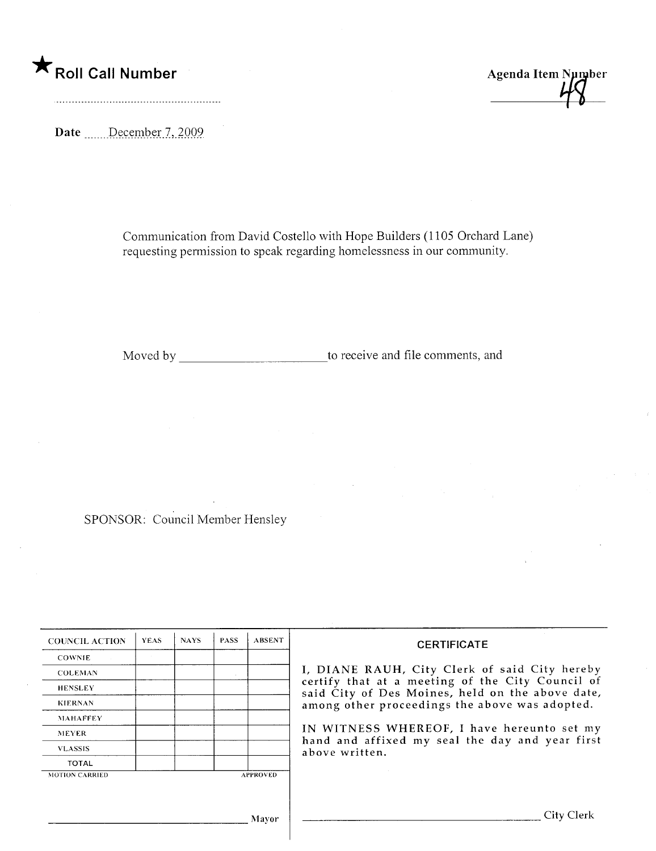## \* Roll Call Number Agenda Item Number

Date December 7, 2009.

Communication from David Costello with Hope Builders (1105 Orchard Lane) requesting permission to speak regarding homelessness in our community.

Moved by to receive and file comments, and

SPONSOR: Council Member Hensley

| <b>COUNCIL ACTION</b> | <b>YEAS</b> | <b>NAYS</b> | <b>PASS</b> | <b>ABSENT</b>   | <b>CERTIFICATE</b>                                                                                                                                                                                                                                                                                                         |
|-----------------------|-------------|-------------|-------------|-----------------|----------------------------------------------------------------------------------------------------------------------------------------------------------------------------------------------------------------------------------------------------------------------------------------------------------------------------|
| <b>COWNIE</b>         |             |             |             |                 |                                                                                                                                                                                                                                                                                                                            |
| <b>COLEMAN</b>        |             |             |             |                 | I, DIANE RAUH, City Clerk of said City hereby<br>certify that at a meeting of the City Council of<br>said City of Des Moines, held on the above date,<br>among other proceedings the above was adopted.<br>IN WITNESS WHEREOF, I have hereunto set my<br>hand and affixed my seal the day and year first<br>above written. |
| <b>HENSLEY</b>        |             |             |             |                 |                                                                                                                                                                                                                                                                                                                            |
| <b>KIERNAN</b>        |             |             |             |                 |                                                                                                                                                                                                                                                                                                                            |
| <b>MAHAFFEY</b>       |             |             |             |                 |                                                                                                                                                                                                                                                                                                                            |
| <b>MEYER</b>          |             |             |             |                 |                                                                                                                                                                                                                                                                                                                            |
| <b>VLASSIS</b>        |             |             |             |                 |                                                                                                                                                                                                                                                                                                                            |
| <b>TOTAL</b>          |             |             |             |                 |                                                                                                                                                                                                                                                                                                                            |
| <b>MOTION CARRIED</b> |             |             |             | <b>APPROVED</b> |                                                                                                                                                                                                                                                                                                                            |
|                       |             |             |             |                 |                                                                                                                                                                                                                                                                                                                            |
|                       |             |             |             | Mayor           | ∵itv ·                                                                                                                                                                                                                                                                                                                     |